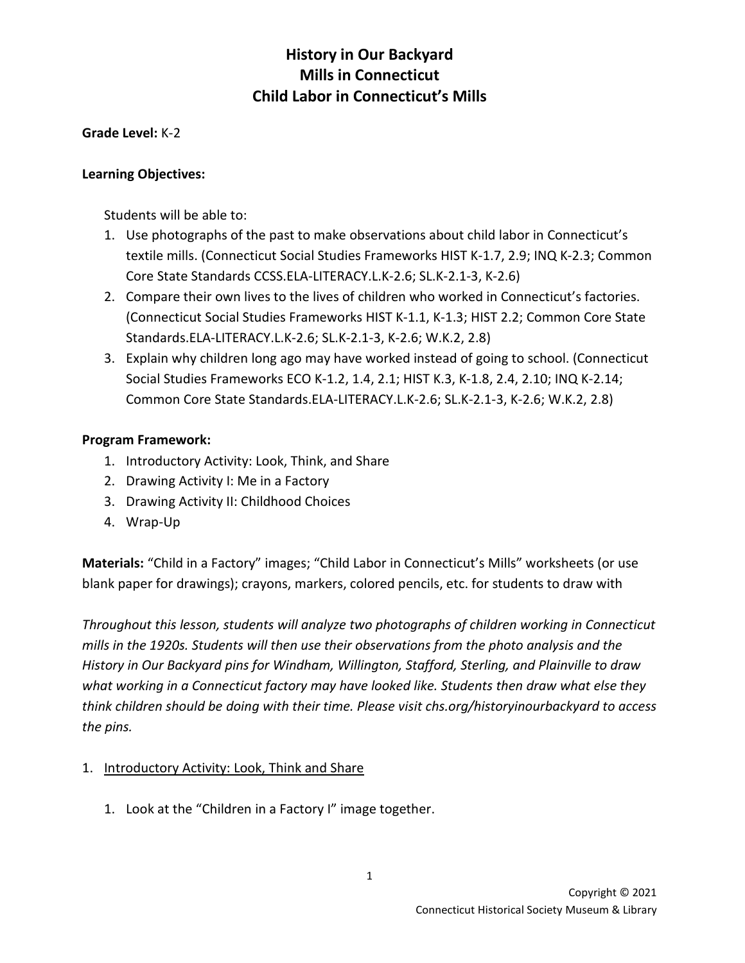#### **Grade Level:** K-2

#### **Learning Objectives:**

Students will be able to:

- 1. Use photographs of the past to make observations about child labor in Connecticut's textile mills. (Connecticut Social Studies Frameworks HIST K-1.7, 2.9; INQ K-2.3; Common Core State Standards CCSS.ELA-LITERACY.L.K-2.6; SL.K-2.1-3, K-2.6)
- 2. Compare their own lives to the lives of children who worked in Connecticut's factories. (Connecticut Social Studies Frameworks HIST K-1.1, K-1.3; HIST 2.2; Common Core State Standards.ELA-LITERACY.L.K-2.6; SL.K-2.1-3, K-2.6; W.K.2, 2.8)
- 3. Explain why children long ago may have worked instead of going to school. (Connecticut Social Studies Frameworks ECO K-1.2, 1.4, 2.1; HIST K.3, K-1.8, 2.4, 2.10; INQ K-2.14; Common Core State Standards.ELA-LITERACY.L.K-2.6; SL.K-2.1-3, K-2.6; W.K.2, 2.8)

#### **Program Framework:**

- 1. Introductory Activity: Look, Think, and Share
- 2. Drawing Activity I: Me in a Factory
- 3. Drawing Activity II: Childhood Choices
- 4. Wrap-Up

**Materials:** "Child in a Factory" images; "Child Labor in Connecticut's Mills" worksheets (or use blank paper for drawings); crayons, markers, colored pencils, etc. for students to draw with

*Throughout this lesson, students will analyze two photographs of children working in Connecticut mills in the 1920s. Students will then use their observations from the photo analysis and the History in Our Backyard pins for Windham, Willington, Stafford, Sterling, and Plainville to draw what working in a Connecticut factory may have looked like. Students then draw what else they think children should be doing with their time. Please visit chs.org/historyinourbackyard to access the pins.* 

#### 1. Introductory Activity: Look, Think and Share

1. Look at the "Children in a Factory I" image together.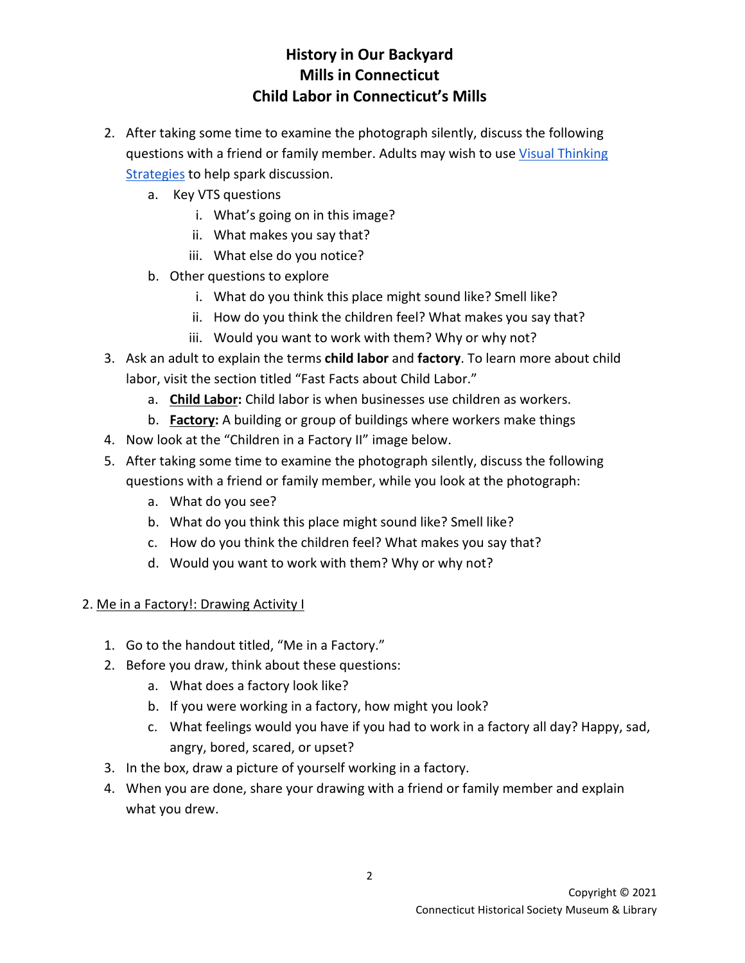- 2. After taking some time to examine the photograph silently, discuss the following questions with a friend or family member. Adults may wish to us[e Visual Thinking](https://vtshome.org/)  **[Strategies](https://vtshome.org/) to help spark discussion.** 
	- a. Key VTS questions
		- i. What's going on in this image?
		- ii. What makes you say that?
		- iii. What else do you notice?
	- b. Other questions to explore
		- i. What do you think this place might sound like? Smell like?
		- ii. How do you think the children feel? What makes you say that?
		- iii. Would you want to work with them? Why or why not?
- 3. Ask an adult to explain the terms **child labor** and **factory**. To learn more about child labor, visit the section titled "Fast Facts about Child Labor."
	- a. **Child Labor:** Child labor is when businesses use children as workers.
	- b. **Factory:** A building or group of buildings where workers make things
- 4. Now look at the "Children in a Factory II" image below.
- 5. After taking some time to examine the photograph silently, discuss the following questions with a friend or family member, while you look at the photograph:
	- a. What do you see?
	- b. What do you think this place might sound like? Smell like?
	- c. How do you think the children feel? What makes you say that?
	- d. Would you want to work with them? Why or why not?

#### 2. Me in a Factory!: Drawing Activity I

- 1. Go to the handout titled, "Me in a Factory."
- 2. Before you draw, think about these questions:
	- a. What does a factory look like?
	- b. If you were working in a factory, how might you look?
	- c. What feelings would you have if you had to work in a factory all day? Happy, sad, angry, bored, scared, or upset?
- 3. In the box, draw a picture of yourself working in a factory.
- 4. When you are done, share your drawing with a friend or family member and explain what you drew.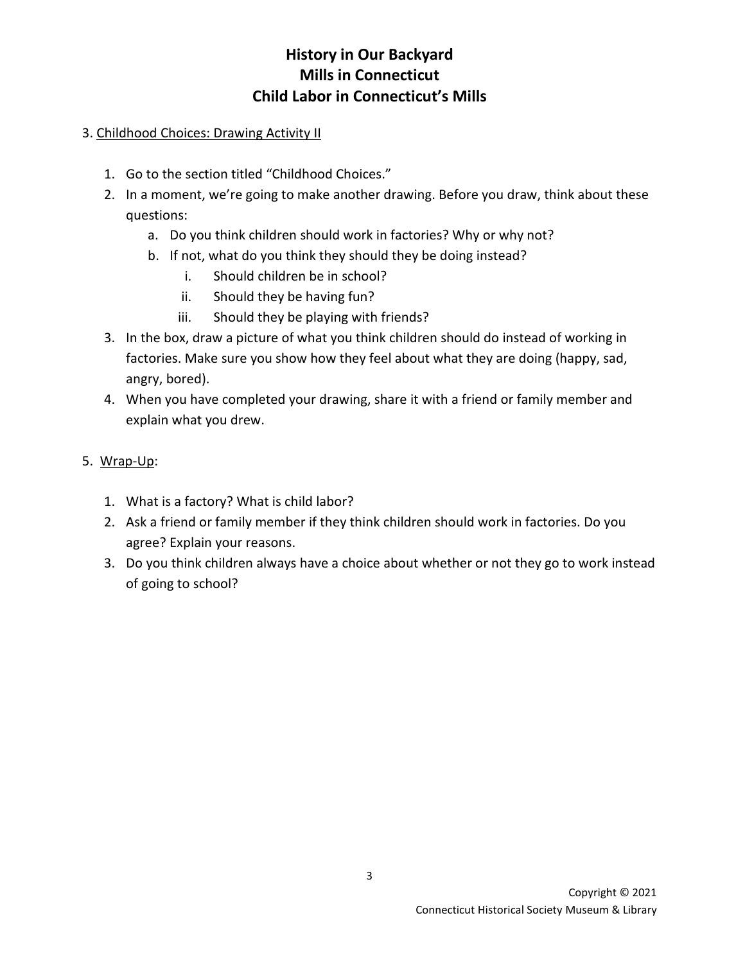### 3. Childhood Choices: Drawing Activity II

- 1. Go to the section titled "Childhood Choices."
- 2. In a moment, we're going to make another drawing. Before you draw, think about these questions:
	- a. Do you think children should work in factories? Why or why not?
	- b. If not, what do you think they should they be doing instead?
		- i. Should children be in school?
		- ii. Should they be having fun?
		- iii. Should they be playing with friends?
- 3. In the box, draw a picture of what you think children should do instead of working in factories. Make sure you show how they feel about what they are doing (happy, sad, angry, bored).
- 4. When you have completed your drawing, share it with a friend or family member and explain what you drew.
- 5. Wrap-Up:
	- 1. What is a factory? What is child labor?
	- 2. Ask a friend or family member if they think children should work in factories. Do you agree? Explain your reasons.
	- 3. Do you think children always have a choice about whether or not they go to work instead of going to school?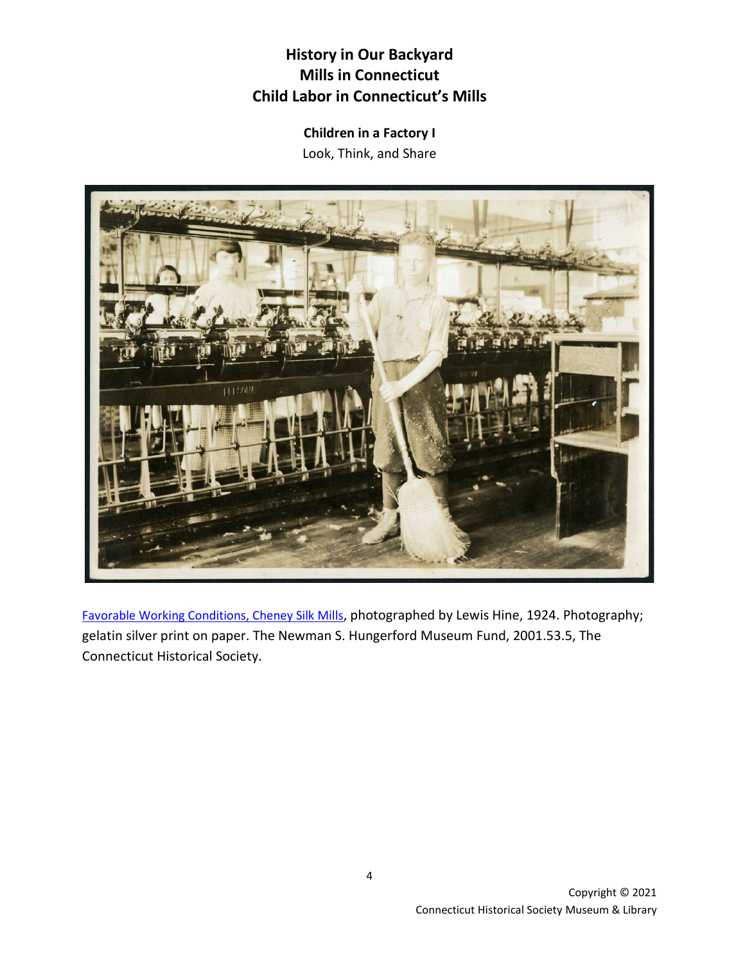**Children in a Factory I** Look, Think, and Share



[Favorable Working Conditions, Cheney Silk Mills,](http://emuseum.chs.org/emuseum/objects/542/favorable-working-conditions-cheney-silk-mills?ctx=1c0d0222f38902e55cf52667a0eefe709476f1d2&idx=0) photographed by Lewis Hine, 1924. Photography; gelatin silver print on paper. The Newman S. Hungerford Museum Fund, 2001.53.5, The Connecticut Historical Society.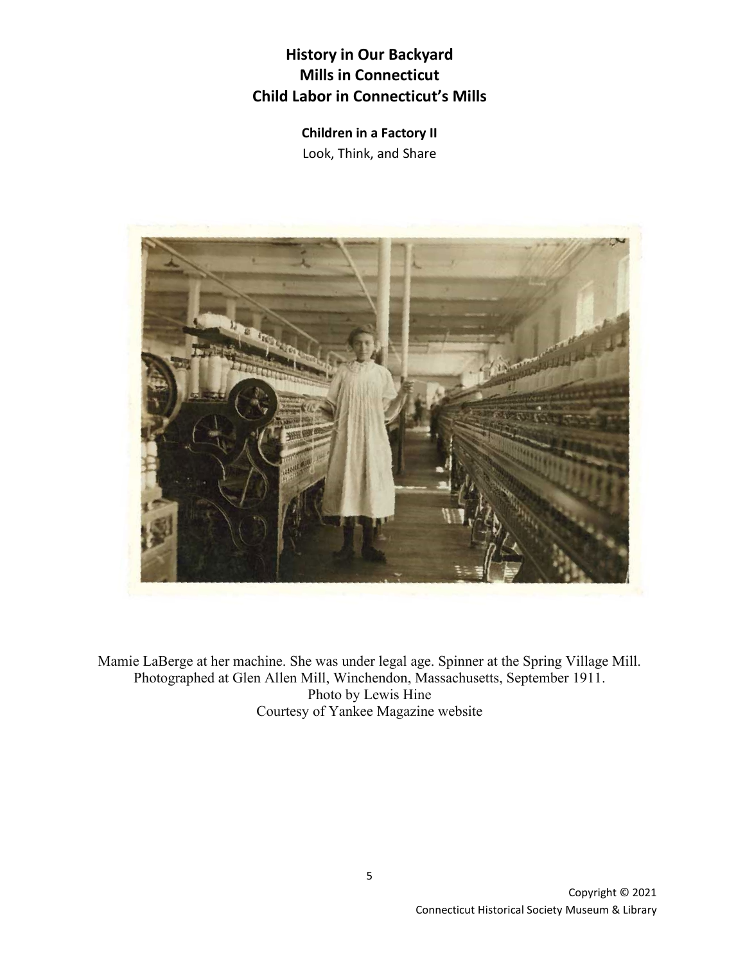**Children in a Factory II** Look, Think, and Share



Mamie LaBerge at her machine. She was under legal age. Spinner at the Spring Village Mill. Photographed at Glen Allen Mill, Winchendon, Massachusetts, September 1911. Photo by Lewis Hine Courtesy of Yankee Magazine website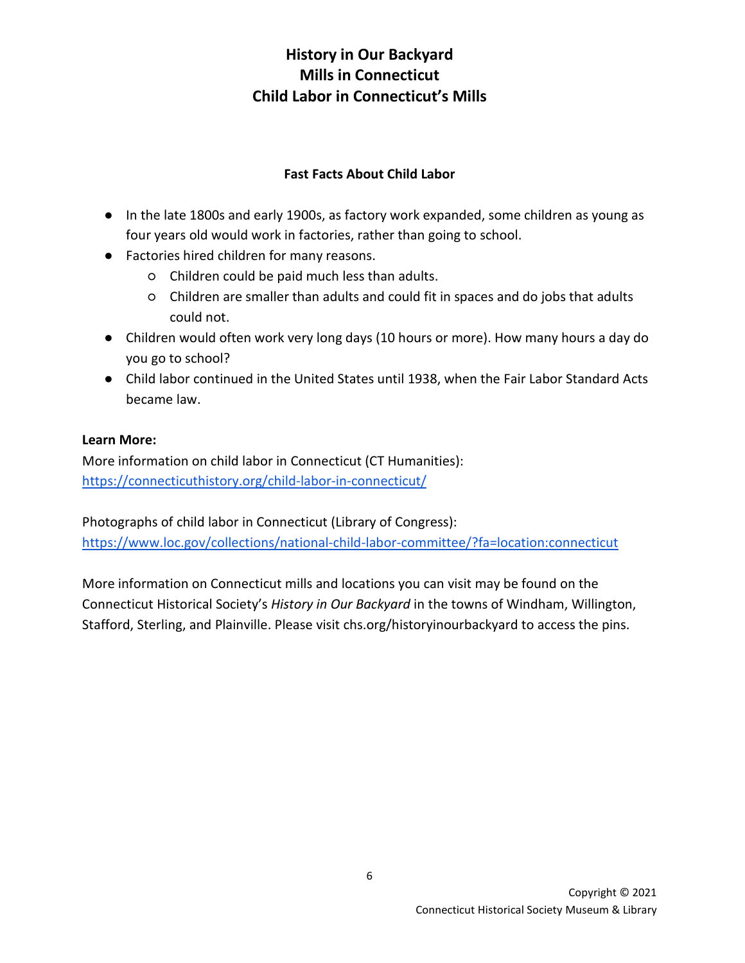### **Fast Facts About Child Labor**

- In the late 1800s and early 1900s, as factory work expanded, some children as young as four years old would work in factories, rather than going to school.
- Factories hired children for many reasons.
	- Children could be paid much less than adults.
	- Children are smaller than adults and could fit in spaces and do jobs that adults could not.
- Children would often work very long days (10 hours or more). How many hours a day do you go to school?
- Child labor continued in the United States until 1938, when the Fair Labor Standard Acts became law.

#### **Learn More:**

More information on child labor in Connecticut (CT Humanities): <https://connecticuthistory.org/child-labor-in-connecticut/>

Photographs of child labor in Connecticut (Library of Congress): <https://www.loc.gov/collections/national-child-labor-committee/?fa=location:connecticut>

More information on Connecticut mills and locations you can visit may be found on the Connecticut Historical Society's *History in Our Backyard* in the towns of Windham, Willington, Stafford, Sterling, and Plainville. Please visit chs.org/historyinourbackyard to access the pins.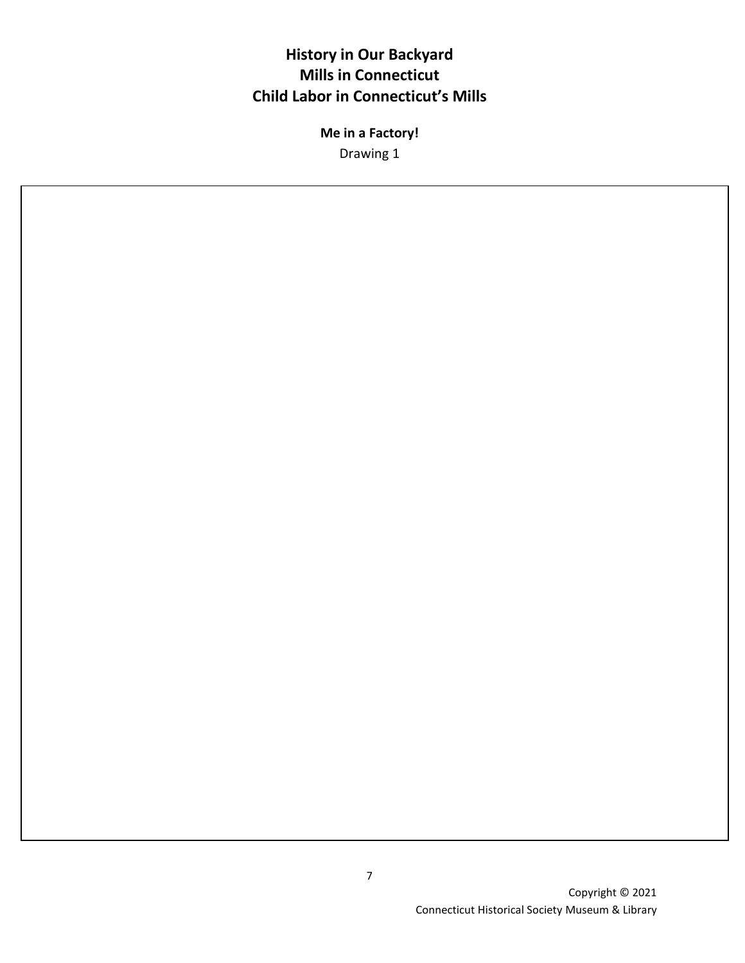**Me in a Factory!** Drawing 1